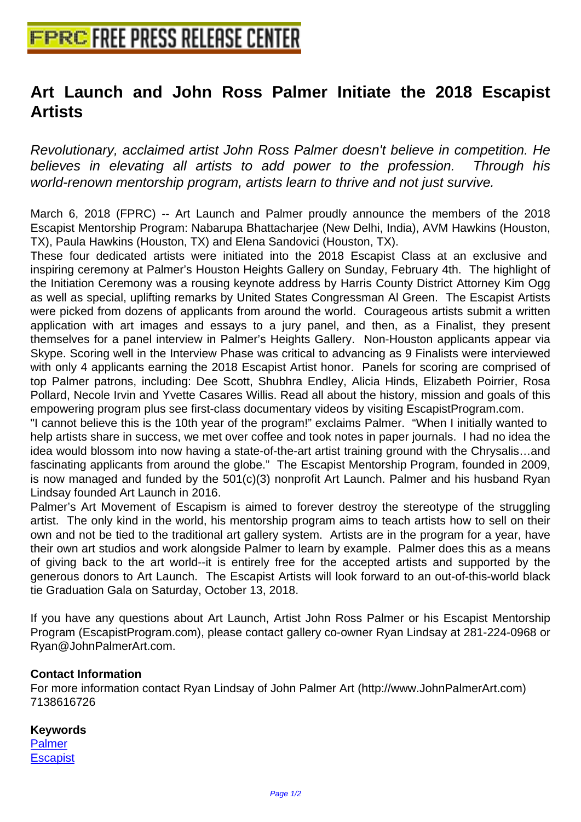## **[Art Launch and John Ross Palm](http://www.free-press-release-center.info)er Initiate the 2018 Escapist Artists**

Revolutionary, acclaimed artist John Ross Palmer doesn't believe in competition. He believes in elevating all artists to add power to the profession. Through his world-renown mentorship program, artists learn to thrive and not just survive.

March 6, 2018 (FPRC) -- Art Launch and Palmer proudly announce the members of the 2018 Escapist Mentorship Program: Nabarupa Bhattacharjee (New Delhi, India), AVM Hawkins (Houston, TX), Paula Hawkins (Houston, TX) and Elena Sandovici (Houston, TX). 

 These four dedicated artists were initiated into the 2018 Escapist Class at an exclusive and inspiring ceremony at Palmer's Houston Heights Gallery on Sunday, February 4th. The highlight of the Initiation Ceremony was a rousing keynote address by Harris County District Attorney Kim Ogg as well as special, uplifting remarks by United States Congressman Al Green. The Escapist Artists were picked from dozens of applicants from around the world. Courageous artists submit a written application with art images and essays to a jury panel, and then, as a Finalist, they present themselves for a panel interview in Palmer's Heights Gallery. Non-Houston applicants appear via Skype. Scoring well in the Interview Phase was critical to advancing as 9 Finalists were interviewed with only 4 applicants earning the 2018 Escapist Artist honor. Panels for scoring are comprised of top Palmer patrons, including: Dee Scott, Shubhra Endley, Alicia Hinds, Elizabeth Poirrier, Rosa Pollard, Necole Irvin and Yvette Casares Willis. Read all about the history, mission and goals of this empowering program plus see first-class documentary videos by visiting EscapistProgram.com.

 "I cannot believe this is the 10th year of the program!" exclaims Palmer. "When I initially wanted to help artists share in success, we met over coffee and took notes in paper journals. I had no idea the idea would blossom into now having a state-of-the-art artist training ground with the Chrysalis…and fascinating applicants from around the globe." The Escapist Mentorship Program, founded in 2009, is now managed and funded by the 501(c)(3) nonprofit Art Launch. Palmer and his husband Ryan Lindsay founded Art Launch in 2016.

Palmer's Art Movement of Escapism is aimed to forever destroy the stereotype of the struggling artist. The only kind in the world, his mentorship program aims to teach artists how to sell on their own and not be tied to the traditional art gallery system. Artists are in the program for a year, have their own art studios and work alongside Palmer to learn by example. Palmer does this as a means of giving back to the art world--it is entirely free for the accepted artists and supported by the generous donors to Art Launch. The Escapist Artists will look forward to an out-of-this-world black tie Graduation Gala on Saturday, October 13, 2018.

If you have any questions about Art Launch, Artist John Ross Palmer or his Escapist Mentorship Program (EscapistProgram.com), please contact gallery co-owner Ryan Lindsay at 281-224-0968 or Ryan@JohnPalmerArt.com.

## **Contact Information**

For more information contact Ryan Lindsay of John Palmer Art (http://www.JohnPalmerArt.com) 7138616726

## **Keywords**

Palmer **Escapist**